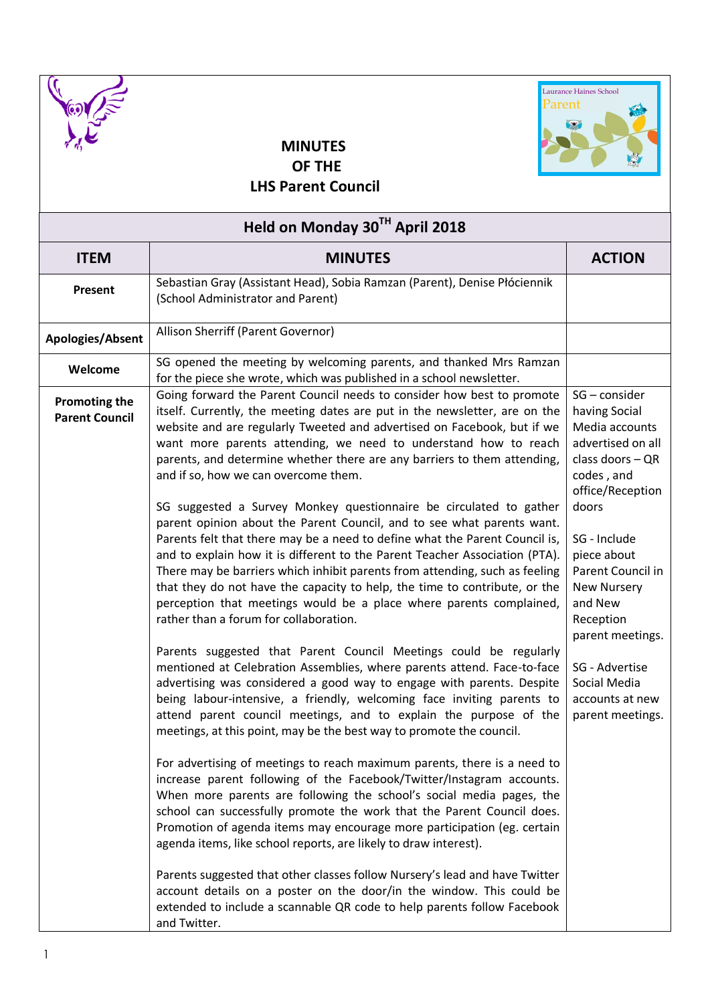



## **MINUTES OF THE**

 **LHS Parent Council**

| Held on Monday 30TH April 2018                |                                                                                                                                                                                                                                                                                                                                                                                                                                                                                                                                                                                                                                                                                                                                                                                                                                                                                                                                                                                                                                                                                                                                                                                                                                                                                                                                                                                                                                                                                                                                                                                                                                                                                                                                                                                                                                                                                                                                                                                                                                                                                                                                                                            |                                                                                                                                                                                                                                                                                                                                     |  |  |
|-----------------------------------------------|----------------------------------------------------------------------------------------------------------------------------------------------------------------------------------------------------------------------------------------------------------------------------------------------------------------------------------------------------------------------------------------------------------------------------------------------------------------------------------------------------------------------------------------------------------------------------------------------------------------------------------------------------------------------------------------------------------------------------------------------------------------------------------------------------------------------------------------------------------------------------------------------------------------------------------------------------------------------------------------------------------------------------------------------------------------------------------------------------------------------------------------------------------------------------------------------------------------------------------------------------------------------------------------------------------------------------------------------------------------------------------------------------------------------------------------------------------------------------------------------------------------------------------------------------------------------------------------------------------------------------------------------------------------------------------------------------------------------------------------------------------------------------------------------------------------------------------------------------------------------------------------------------------------------------------------------------------------------------------------------------------------------------------------------------------------------------------------------------------------------------------------------------------------------------|-------------------------------------------------------------------------------------------------------------------------------------------------------------------------------------------------------------------------------------------------------------------------------------------------------------------------------------|--|--|
| <b>ITEM</b>                                   | <b>MINUTES</b>                                                                                                                                                                                                                                                                                                                                                                                                                                                                                                                                                                                                                                                                                                                                                                                                                                                                                                                                                                                                                                                                                                                                                                                                                                                                                                                                                                                                                                                                                                                                                                                                                                                                                                                                                                                                                                                                                                                                                                                                                                                                                                                                                             | <b>ACTION</b>                                                                                                                                                                                                                                                                                                                       |  |  |
| Present                                       | Sebastian Gray (Assistant Head), Sobia Ramzan (Parent), Denise Płóciennik<br>(School Administrator and Parent)                                                                                                                                                                                                                                                                                                                                                                                                                                                                                                                                                                                                                                                                                                                                                                                                                                                                                                                                                                                                                                                                                                                                                                                                                                                                                                                                                                                                                                                                                                                                                                                                                                                                                                                                                                                                                                                                                                                                                                                                                                                             |                                                                                                                                                                                                                                                                                                                                     |  |  |
| Apologies/Absent                              | Allison Sherriff (Parent Governor)                                                                                                                                                                                                                                                                                                                                                                                                                                                                                                                                                                                                                                                                                                                                                                                                                                                                                                                                                                                                                                                                                                                                                                                                                                                                                                                                                                                                                                                                                                                                                                                                                                                                                                                                                                                                                                                                                                                                                                                                                                                                                                                                         |                                                                                                                                                                                                                                                                                                                                     |  |  |
| Welcome                                       | SG opened the meeting by welcoming parents, and thanked Mrs Ramzan<br>for the piece she wrote, which was published in a school newsletter.                                                                                                                                                                                                                                                                                                                                                                                                                                                                                                                                                                                                                                                                                                                                                                                                                                                                                                                                                                                                                                                                                                                                                                                                                                                                                                                                                                                                                                                                                                                                                                                                                                                                                                                                                                                                                                                                                                                                                                                                                                 |                                                                                                                                                                                                                                                                                                                                     |  |  |
| <b>Promoting the</b><br><b>Parent Council</b> | Going forward the Parent Council needs to consider how best to promote<br>itself. Currently, the meeting dates are put in the newsletter, are on the<br>website and are regularly Tweeted and advertised on Facebook, but if we<br>want more parents attending, we need to understand how to reach<br>parents, and determine whether there are any barriers to them attending,<br>and if so, how we can overcome them.<br>SG suggested a Survey Monkey questionnaire be circulated to gather<br>parent opinion about the Parent Council, and to see what parents want.<br>Parents felt that there may be a need to define what the Parent Council is,<br>and to explain how it is different to the Parent Teacher Association (PTA).<br>There may be barriers which inhibit parents from attending, such as feeling<br>that they do not have the capacity to help, the time to contribute, or the<br>perception that meetings would be a place where parents complained,<br>rather than a forum for collaboration.<br>Parents suggested that Parent Council Meetings could be regularly<br>mentioned at Celebration Assemblies, where parents attend. Face-to-face<br>advertising was considered a good way to engage with parents. Despite<br>being labour-intensive, a friendly, welcoming face inviting parents to<br>attend parent council meetings, and to explain the purpose of the<br>meetings, at this point, may be the best way to promote the council.<br>For advertising of meetings to reach maximum parents, there is a need to<br>increase parent following of the Facebook/Twitter/Instagram accounts.<br>When more parents are following the school's social media pages, the<br>school can successfully promote the work that the Parent Council does.<br>Promotion of agenda items may encourage more participation (eg. certain<br>agenda items, like school reports, are likely to draw interest).<br>Parents suggested that other classes follow Nursery's lead and have Twitter<br>account details on a poster on the door/in the window. This could be<br>extended to include a scannable QR code to help parents follow Facebook<br>and Twitter. | SG - consider<br>having Social<br>Media accounts<br>advertised on all<br>class doors - QR<br>codes, and<br>office/Reception<br>doors<br>SG - Include<br>piece about<br>Parent Council in<br><b>New Nursery</b><br>and New<br>Reception<br>parent meetings.<br>SG - Advertise<br>Social Media<br>accounts at new<br>parent meetings. |  |  |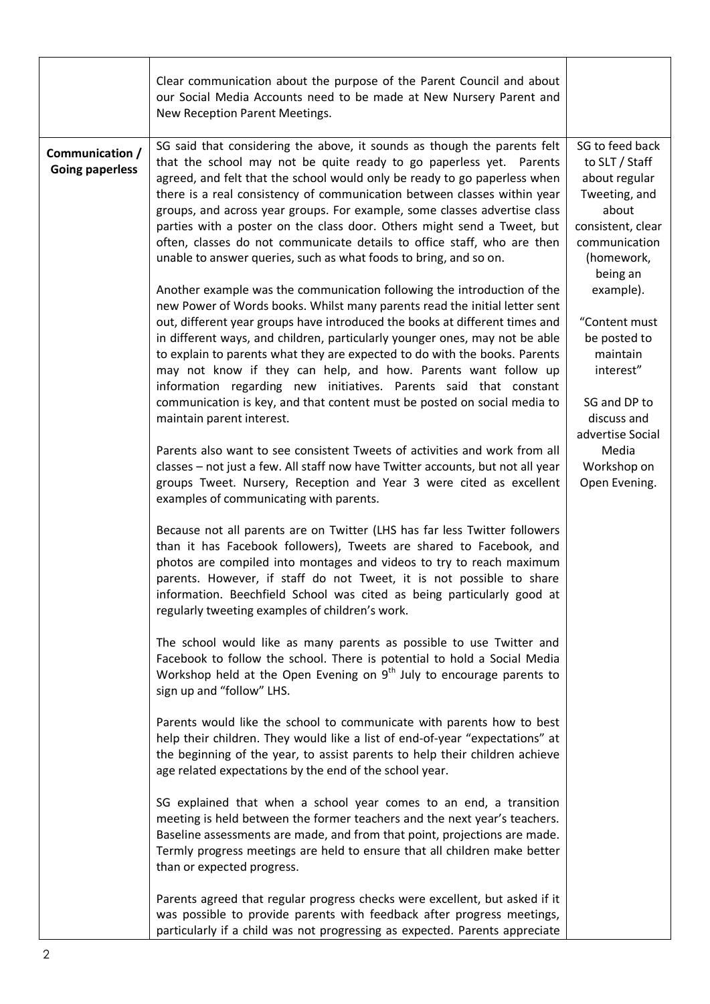|                                           | Clear communication about the purpose of the Parent Council and about<br>our Social Media Accounts need to be made at New Nursery Parent and<br>New Reception Parent Meetings.                                                                                                                                                                                                                                                                                                                                                                                                                                                                    |                                                                                                                                                                                                                                                                                                                 |
|-------------------------------------------|---------------------------------------------------------------------------------------------------------------------------------------------------------------------------------------------------------------------------------------------------------------------------------------------------------------------------------------------------------------------------------------------------------------------------------------------------------------------------------------------------------------------------------------------------------------------------------------------------------------------------------------------------|-----------------------------------------------------------------------------------------------------------------------------------------------------------------------------------------------------------------------------------------------------------------------------------------------------------------|
| Communication /<br><b>Going paperless</b> | SG said that considering the above, it sounds as though the parents felt<br>that the school may not be quite ready to go paperless yet. Parents<br>agreed, and felt that the school would only be ready to go paperless when<br>there is a real consistency of communication between classes within year<br>groups, and across year groups. For example, some classes advertise class<br>parties with a poster on the class door. Others might send a Tweet, but<br>often, classes do not communicate details to office staff, who are then<br>unable to answer queries, such as what foods to bring, and so on.                                  | SG to feed back<br>to SLT / Staff<br>about regular<br>Tweeting, and<br>about<br>consistent, clear<br>communication<br>(homework,<br>being an<br>example).<br>"Content must<br>be posted to<br>maintain<br>interest"<br>SG and DP to<br>discuss and<br>advertise Social<br>Media<br>Workshop on<br>Open Evening. |
|                                           | Another example was the communication following the introduction of the<br>new Power of Words books. Whilst many parents read the initial letter sent<br>out, different year groups have introduced the books at different times and<br>in different ways, and children, particularly younger ones, may not be able<br>to explain to parents what they are expected to do with the books. Parents<br>may not know if they can help, and how. Parents want follow up<br>information regarding new initiatives. Parents said that constant<br>communication is key, and that content must be posted on social media to<br>maintain parent interest. |                                                                                                                                                                                                                                                                                                                 |
|                                           | Parents also want to see consistent Tweets of activities and work from all<br>classes - not just a few. All staff now have Twitter accounts, but not all year<br>groups Tweet. Nursery, Reception and Year 3 were cited as excellent<br>examples of communicating with parents.                                                                                                                                                                                                                                                                                                                                                                   |                                                                                                                                                                                                                                                                                                                 |
|                                           | Because not all parents are on Twitter (LHS has far less Twitter followers<br>than it has Facebook followers), Tweets are shared to Facebook, and<br>photos are compiled into montages and videos to try to reach maximum<br>parents. However, if staff do not Tweet, it is not possible to share<br>information. Beechfield School was cited as being particularly good at<br>regularly tweeting examples of children's work.                                                                                                                                                                                                                    |                                                                                                                                                                                                                                                                                                                 |
|                                           | The school would like as many parents as possible to use Twitter and<br>Facebook to follow the school. There is potential to hold a Social Media<br>Workshop held at the Open Evening on $9th$ July to encourage parents to<br>sign up and "follow" LHS.                                                                                                                                                                                                                                                                                                                                                                                          |                                                                                                                                                                                                                                                                                                                 |
|                                           | Parents would like the school to communicate with parents how to best<br>help their children. They would like a list of end-of-year "expectations" at<br>the beginning of the year, to assist parents to help their children achieve<br>age related expectations by the end of the school year.                                                                                                                                                                                                                                                                                                                                                   |                                                                                                                                                                                                                                                                                                                 |
|                                           | SG explained that when a school year comes to an end, a transition<br>meeting is held between the former teachers and the next year's teachers.<br>Baseline assessments are made, and from that point, projections are made.<br>Termly progress meetings are held to ensure that all children make better<br>than or expected progress.                                                                                                                                                                                                                                                                                                           |                                                                                                                                                                                                                                                                                                                 |
|                                           | Parents agreed that regular progress checks were excellent, but asked if it<br>was possible to provide parents with feedback after progress meetings,<br>particularly if a child was not progressing as expected. Parents appreciate                                                                                                                                                                                                                                                                                                                                                                                                              |                                                                                                                                                                                                                                                                                                                 |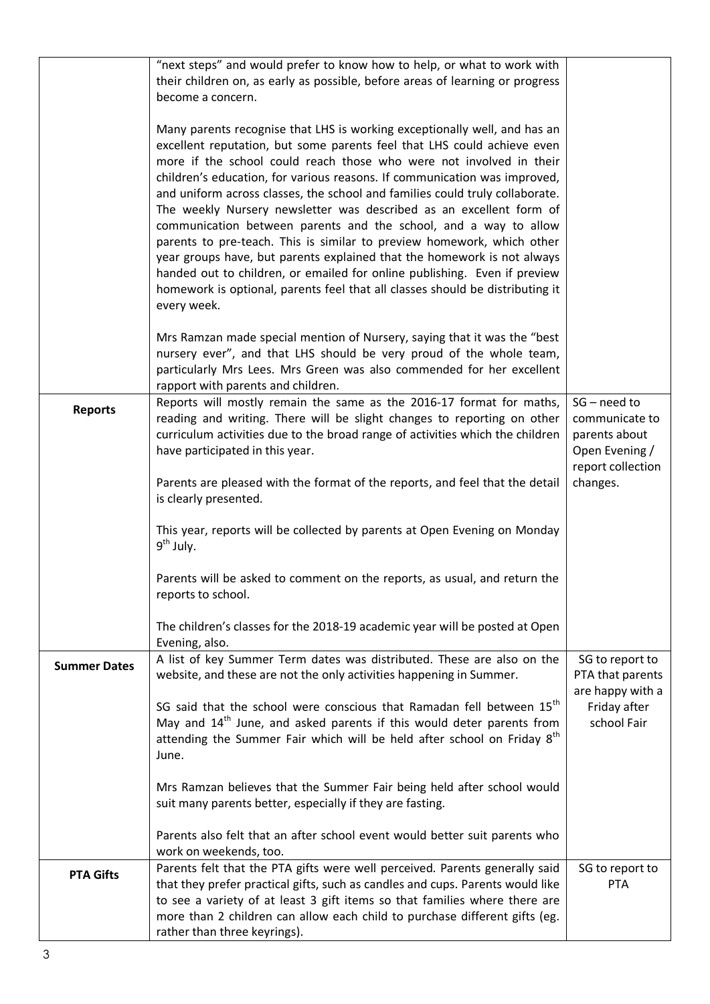|                     | "next steps" and would prefer to know how to help, or what to work with                                                                                                                                                                                                                                                                                                                                                                                                                                                                                                                                                                                                                                                                                                                                                                                               |                                                                                          |
|---------------------|-----------------------------------------------------------------------------------------------------------------------------------------------------------------------------------------------------------------------------------------------------------------------------------------------------------------------------------------------------------------------------------------------------------------------------------------------------------------------------------------------------------------------------------------------------------------------------------------------------------------------------------------------------------------------------------------------------------------------------------------------------------------------------------------------------------------------------------------------------------------------|------------------------------------------------------------------------------------------|
|                     | their children on, as early as possible, before areas of learning or progress<br>become a concern.                                                                                                                                                                                                                                                                                                                                                                                                                                                                                                                                                                                                                                                                                                                                                                    |                                                                                          |
|                     | Many parents recognise that LHS is working exceptionally well, and has an<br>excellent reputation, but some parents feel that LHS could achieve even<br>more if the school could reach those who were not involved in their<br>children's education, for various reasons. If communication was improved,<br>and uniform across classes, the school and families could truly collaborate.<br>The weekly Nursery newsletter was described as an excellent form of<br>communication between parents and the school, and a way to allow<br>parents to pre-teach. This is similar to preview homework, which other<br>year groups have, but parents explained that the homework is not always<br>handed out to children, or emailed for online publishing. Even if preview<br>homework is optional, parents feel that all classes should be distributing it<br>every week. |                                                                                          |
|                     | Mrs Ramzan made special mention of Nursery, saying that it was the "best<br>nursery ever", and that LHS should be very proud of the whole team,<br>particularly Mrs Lees. Mrs Green was also commended for her excellent<br>rapport with parents and children.                                                                                                                                                                                                                                                                                                                                                                                                                                                                                                                                                                                                        |                                                                                          |
| <b>Reports</b>      | Reports will mostly remain the same as the 2016-17 format for maths,<br>reading and writing. There will be slight changes to reporting on other<br>curriculum activities due to the broad range of activities which the children<br>have participated in this year.                                                                                                                                                                                                                                                                                                                                                                                                                                                                                                                                                                                                   | $SG - need to$<br>communicate to<br>parents about<br>Open Evening /<br>report collection |
|                     | Parents are pleased with the format of the reports, and feel that the detail<br>is clearly presented.                                                                                                                                                                                                                                                                                                                                                                                                                                                                                                                                                                                                                                                                                                                                                                 | changes.                                                                                 |
|                     | This year, reports will be collected by parents at Open Evening on Monday<br>$9th$ July.                                                                                                                                                                                                                                                                                                                                                                                                                                                                                                                                                                                                                                                                                                                                                                              |                                                                                          |
|                     | Parents will be asked to comment on the reports, as usual, and return the<br>reports to school.                                                                                                                                                                                                                                                                                                                                                                                                                                                                                                                                                                                                                                                                                                                                                                       |                                                                                          |
|                     | The children's classes for the 2018-19 academic year will be posted at Open<br>Evening, also.                                                                                                                                                                                                                                                                                                                                                                                                                                                                                                                                                                                                                                                                                                                                                                         |                                                                                          |
| <b>Summer Dates</b> | A list of key Summer Term dates was distributed. These are also on the<br>website, and these are not the only activities happening in Summer.                                                                                                                                                                                                                                                                                                                                                                                                                                                                                                                                                                                                                                                                                                                         | SG to report to<br>PTA that parents<br>are happy with a                                  |
|                     | SG said that the school were conscious that Ramadan fell between 15 <sup>th</sup><br>May and 14 <sup>th</sup> June, and asked parents if this would deter parents from<br>attending the Summer Fair which will be held after school on Friday 8 <sup>th</sup><br>June.                                                                                                                                                                                                                                                                                                                                                                                                                                                                                                                                                                                                | Friday after<br>school Fair                                                              |
|                     | Mrs Ramzan believes that the Summer Fair being held after school would<br>suit many parents better, especially if they are fasting.                                                                                                                                                                                                                                                                                                                                                                                                                                                                                                                                                                                                                                                                                                                                   |                                                                                          |
|                     | Parents also felt that an after school event would better suit parents who<br>work on weekends, too.                                                                                                                                                                                                                                                                                                                                                                                                                                                                                                                                                                                                                                                                                                                                                                  |                                                                                          |
| <b>PTA Gifts</b>    | Parents felt that the PTA gifts were well perceived. Parents generally said<br>that they prefer practical gifts, such as candles and cups. Parents would like<br>to see a variety of at least 3 gift items so that families where there are<br>more than 2 children can allow each child to purchase different gifts (eg.<br>rather than three keyrings).                                                                                                                                                                                                                                                                                                                                                                                                                                                                                                             | SG to report to<br><b>PTA</b>                                                            |